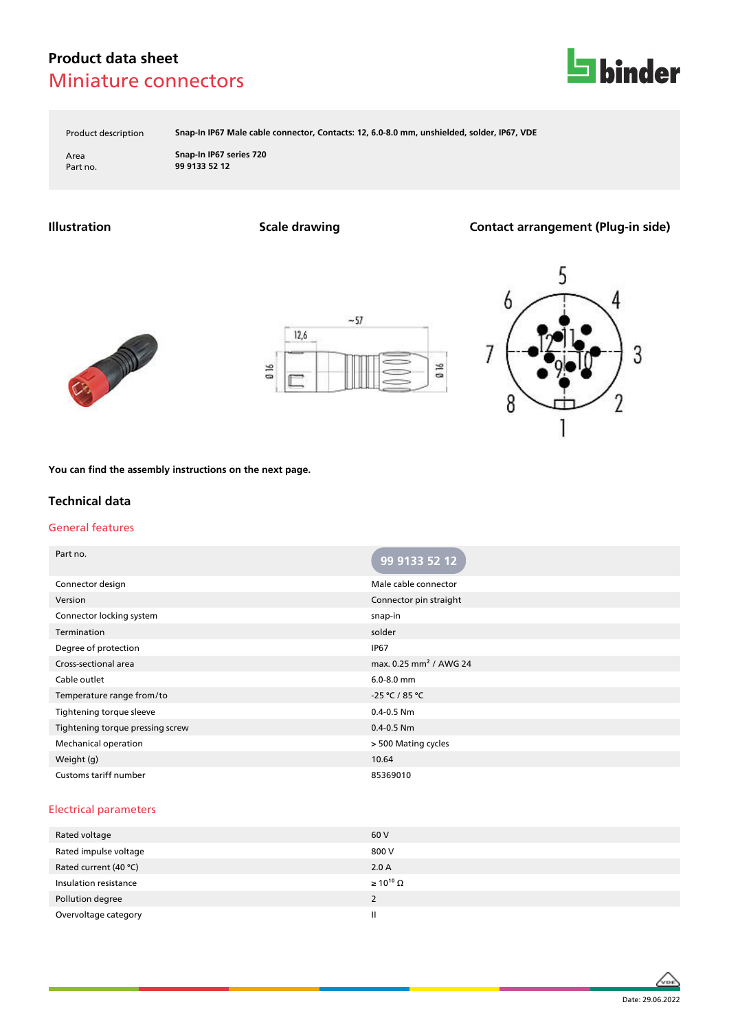# **Product data sheet** Miniature connectors



Product description **Snap-In IP67 Male cable connector, Contacts: 12, 6.0-8.0 mm, unshielded, solder, IP67, VDE**

Area **Snap-In IP67 series 720** Part no. **99 9133 52 12**

**Illustration Scale drawing Contact arrangement (Plug-in side)**







**You can find the assembly instructions on the next page.**

### **Technical data**

#### General features

| Part no.                         | 99 9133 52 12                      |
|----------------------------------|------------------------------------|
| Connector design                 | Male cable connector               |
| Version                          | Connector pin straight             |
| Connector locking system         | snap-in                            |
| Termination                      | solder                             |
| Degree of protection             | <b>IP67</b>                        |
| Cross-sectional area             | max. 0.25 mm <sup>2</sup> / AWG 24 |
| Cable outlet                     | $6.0 - 8.0$ mm                     |
| Temperature range from/to        | -25 °C / 85 °C                     |
| Tightening torque sleeve         | $0.4 - 0.5$ Nm                     |
| Tightening torque pressing screw | $0.4 - 0.5$ Nm                     |
| <b>Mechanical operation</b>      | > 500 Mating cycles                |
| Weight (g)                       | 10.64                              |
| Customs tariff number            | 85369010                           |

#### Electrical parameters

| Rated voltage         | 60 V                  |
|-----------------------|-----------------------|
| Rated impulse voltage | 800 V                 |
| Rated current (40 °C) | 2.0A                  |
| Insulation resistance | $\geq 10^{10} \Omega$ |
| Pollution degree      | 2                     |
| Overvoltage category  | Ш                     |

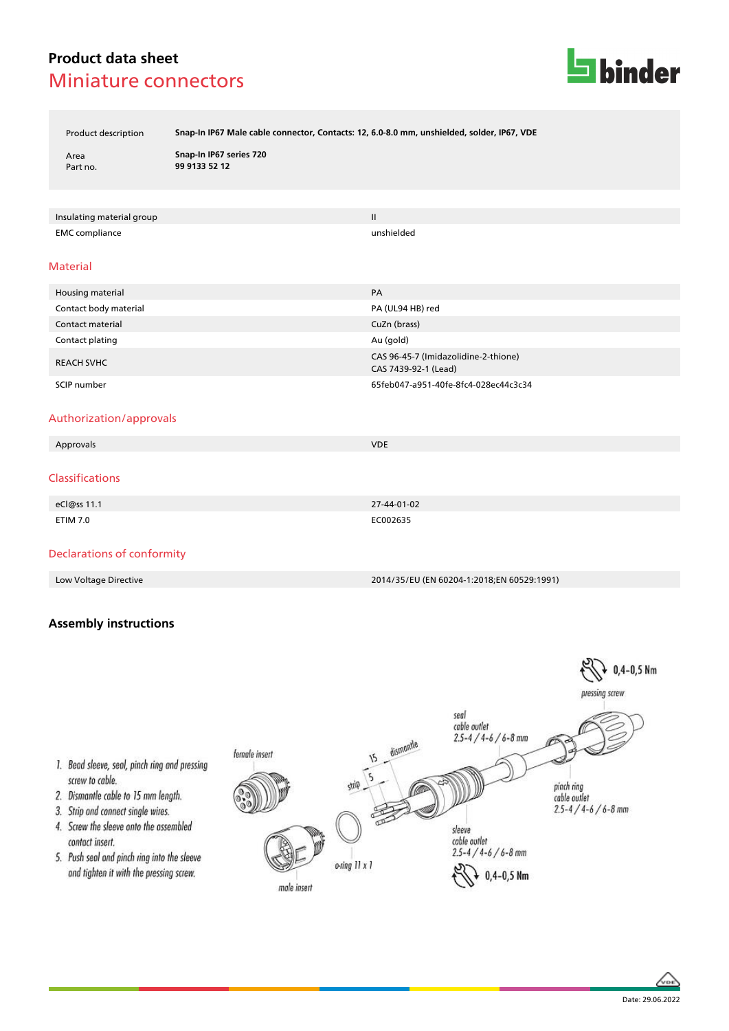# **Product data sheet** Miniature connectors



Product description **Snap-In IP67 Male cable connector, Contacts: 12, 6.0-8.0 mm, unshielded, solder, IP67, VDE**

Area **Snap-In IP67 series 720** Part no. **99 9133 52 12**

Insulating material group II and the control of the control of the control of the control of the control of the control of the control of the control of the control of the control of the control of the control of the contr EMC compliance unshielded

#### Material

| Housing material      | PA                                                           |
|-----------------------|--------------------------------------------------------------|
| Contact body material | PA (UL94 HB) red                                             |
| Contact material      | CuZn (brass)                                                 |
| Contact plating       | Au (gold)                                                    |
| <b>REACH SVHC</b>     | CAS 96-45-7 (Imidazolidine-2-thione)<br>CAS 7439-92-1 (Lead) |
| SCIP number           | 65feb047-a951-40fe-8fc4-028ec44c3c34                         |

### Authorization/approvals

| Approvals       | <b>VDE</b>  |
|-----------------|-------------|
|                 |             |
| Classifications |             |
| eCl@ss 11.1     | 27-44-01-02 |
| <b>ETIM 7.0</b> | EC002635    |
|                 |             |

### Declarations of conformity

Low Voltage Directive 2014/35/EU (EN 60204-1:2018;EN 60529:1991)

### **Assembly instructions**





- 1. Bead sleeve, seal, pinch ring and pressing screw to cable.
- 2. Dismantle cable to 15 mm length.
- 3. Strip and connect single wires.
- 4. Screw the sleeve onto the assembled contact insert.
- 5. Push seal and pinch ring into the sleeve and tighten it with the pressing screw.